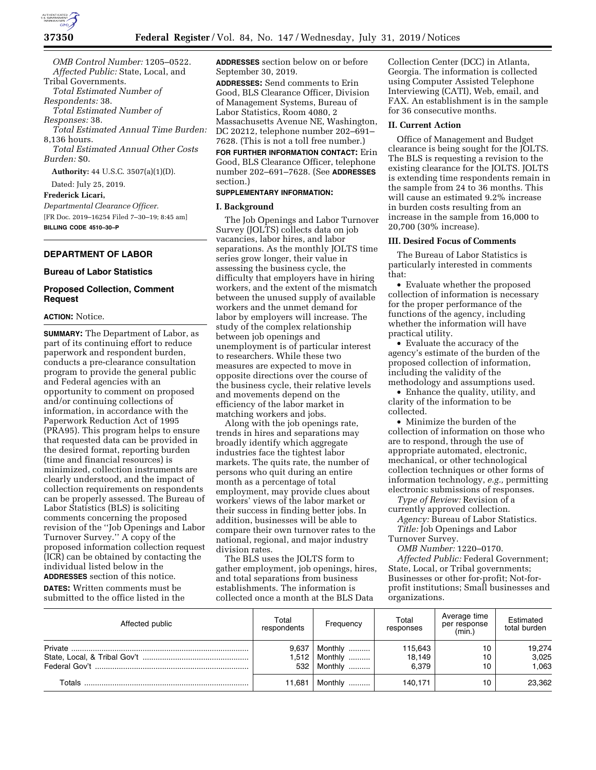

*OMB Control Number:* 1205–0522. *Affected Public:* State, Local, and Tribal Governments. *Total Estimated Number of Respondents:* 38.

*Total Estimated Number of Responses:* 38.

*Total Estimated Annual Time Burden:*  8,136 hours.

*Total Estimated Annual Other Costs Burden:* \$0.

**Authority:** 44 U.S.C. 3507(a)(1)(D).

Dated: July 25, 2019.

**Frederick Licari,** 

*Departmental Clearance Officer.*  [FR Doc. 2019–16254 Filed 7–30–19; 8:45 am] **BILLING CODE 4510–30–P** 

## **DEPARTMENT OF LABOR**

## **Bureau of Labor Statistics**

## **Proposed Collection, Comment Request**

## **ACTION:** Notice.

**SUMMARY:** The Department of Labor, as part of its continuing effort to reduce paperwork and respondent burden, conducts a pre-clearance consultation program to provide the general public and Federal agencies with an opportunity to comment on proposed and/or continuing collections of information, in accordance with the Paperwork Reduction Act of 1995 (PRA95). This program helps to ensure that requested data can be provided in the desired format, reporting burden (time and financial resources) is minimized, collection instruments are clearly understood, and the impact of collection requirements on respondents can be properly assessed. The Bureau of Labor Statistics (BLS) is soliciting comments concerning the proposed revision of the ''Job Openings and Labor Turnover Survey.'' A copy of the proposed information collection request (ICR) can be obtained by contacting the individual listed below in the **ADDRESSES** section of this notice. **DATES:** Written comments must be submitted to the office listed in the

**ADDRESSES** section below on or before September 30, 2019.

**ADDRESSES:** Send comments to Erin Good, BLS Clearance Officer, Division of Management Systems, Bureau of Labor Statistics, Room 4080, 2 Massachusetts Avenue NE, Washington, DC 20212, telephone number 202–691– 7628. (This is not a toll free number.)

**FOR FURTHER INFORMATION CONTACT:** Erin Good, BLS Clearance Officer, telephone number 202–691–7628. (See **ADDRESSES** section.)

# **SUPPLEMENTARY INFORMATION:**

### **I. Background**

The Job Openings and Labor Turnover Survey (JOLTS) collects data on job vacancies, labor hires, and labor separations. As the monthly JOLTS time series grow longer, their value in assessing the business cycle, the difficulty that employers have in hiring workers, and the extent of the mismatch between the unused supply of available workers and the unmet demand for labor by employers will increase. The study of the complex relationship between job openings and unemployment is of particular interest to researchers. While these two measures are expected to move in opposite directions over the course of the business cycle, their relative levels and movements depend on the efficiency of the labor market in matching workers and jobs.

Along with the job openings rate, trends in hires and separations may broadly identify which aggregate industries face the tightest labor markets. The quits rate, the number of persons who quit during an entire month as a percentage of total employment, may provide clues about workers' views of the labor market or their success in finding better jobs. In addition, businesses will be able to compare their own turnover rates to the national, regional, and major industry division rates.

The BLS uses the JOLTS form to gather employment, job openings, hires, and total separations from business establishments. The information is collected once a month at the BLS Data

Collection Center (DCC) in Atlanta, Georgia. The information is collected using Computer Assisted Telephone Interviewing (CATI), Web, email, and FAX. An establishment is in the sample for 36 consecutive months.

#### **II. Current Action**

Office of Management and Budget clearance is being sought for the JOLTS. The BLS is requesting a revision to the existing clearance for the JOLTS. JOLTS is extending time respondents remain in the sample from 24 to 36 months. This will cause an estimated 9.2% increase in burden costs resulting from an increase in the sample from 16,000 to 20,700 (30% increase).

## **III. Desired Focus of Comments**

The Bureau of Labor Statistics is particularly interested in comments that:

• Evaluate whether the proposed collection of information is necessary for the proper performance of the functions of the agency, including whether the information will have practical utility.

• Evaluate the accuracy of the agency's estimate of the burden of the proposed collection of information, including the validity of the methodology and assumptions used.

• Enhance the quality, utility, and clarity of the information to be collected.

• Minimize the burden of the collection of information on those who are to respond, through the use of appropriate automated, electronic, mechanical, or other technological collection techniques or other forms of information technology, *e.g.,* permitting electronic submissions of responses.

*Type of Review:* Revision of a currently approved collection.

*Agency:* Bureau of Labor Statistics. *Title:* Job Openings and Labor

Turnover Survey.

*OMB Number:* 1220–0170. *Affected Public:* Federal Government; State, Local, or Tribal governments; Businesses or other for-profit; Not-forprofit institutions; Small businesses and organizations.

| Affected public | Total<br>respondents | Frequency                     | Total<br>responses         | Average time<br>per response<br>(min.) | Estimated<br>total burden |
|-----------------|----------------------|-------------------------------|----------------------------|----------------------------------------|---------------------------|
|                 | 9.637<br>,512<br>532 | Monthly<br>Monthly<br>Monthly | 115,643<br>18.149<br>6.379 | 10<br>10<br>10                         | 19,274<br>3,025<br>1.063  |
| Totals          | 11,681               | Monthly<br>.                  | 140,171                    | 10                                     | 23,362                    |